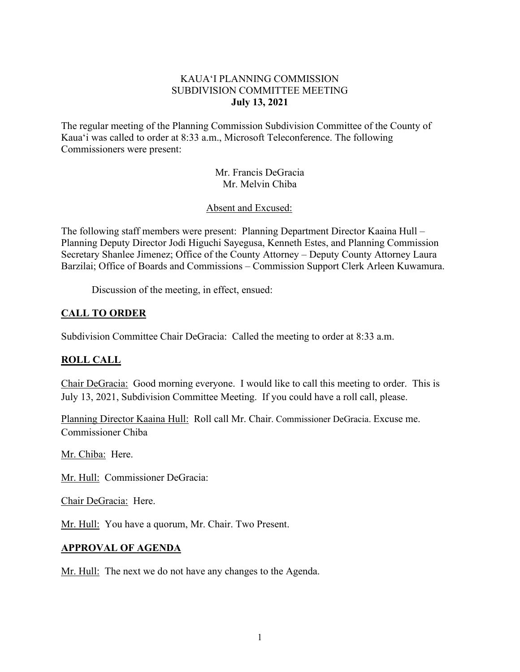### KAUA'I PLANNING COMMISSION SUBDIVISION COMMITTEE MEETING **July 13, 2021**

The regular meeting of the Planning Commission Subdivision Committee of the County of Kaua'i was called to order at 8:33 a.m., Microsoft Teleconference. The following Commissioners were present:

> Mr. Francis DeGracia Mr. Melvin Chiba

Absent and Excused:

The following staff members were present: Planning Department Director Kaaina Hull – Planning Deputy Director Jodi Higuchi Sayegusa, Kenneth Estes, and Planning Commission Secretary Shanlee Jimenez; Office of the County Attorney – Deputy County Attorney Laura Barzilai; Office of Boards and Commissions – Commission Support Clerk Arleen Kuwamura.

Discussion of the meeting, in effect, ensued:

# **CALL TO ORDER**

Subdivision Committee Chair DeGracia: Called the meeting to order at 8:33 a.m.

### **ROLL CALL**

Chair DeGracia: Good morning everyone. I would like to call this meeting to order. This is July 13, 2021, Subdivision Committee Meeting. If you could have a roll call, please.

Planning Director Kaaina Hull: Roll call Mr. Chair. Commissioner DeGracia. Excuse me. Commissioner Chiba

Mr. Chiba: Here.

Mr. Hull: Commissioner DeGracia:

Chair DeGracia: Here.

Mr. Hull: You have a quorum, Mr. Chair. Two Present.

### **APPROVAL OF AGENDA**

Mr. Hull: The next we do not have any changes to the Agenda.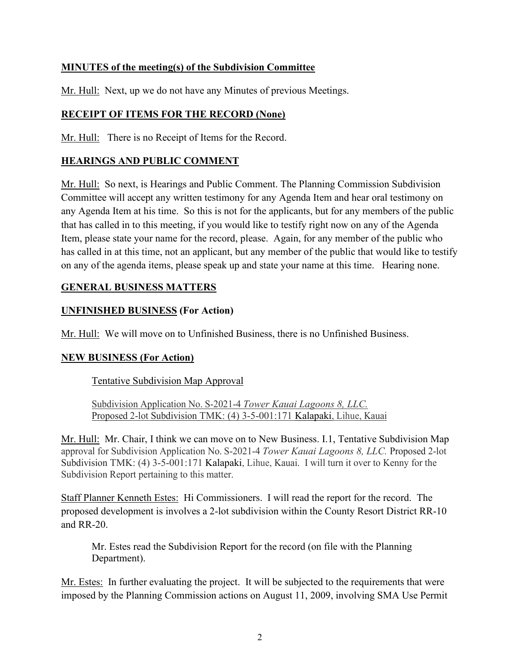# **MINUTES of the meeting(s) of the Subdivision Committee**

Mr. Hull: Next, up we do not have any Minutes of previous Meetings.

# **RECEIPT OF ITEMS FOR THE RECORD (None)**

Mr. Hull: There is no Receipt of Items for the Record.

## **HEARINGS AND PUBLIC COMMENT**

Mr. Hull: So next, is Hearings and Public Comment. The Planning Commission Subdivision Committee will accept any written testimony for any Agenda Item and hear oral testimony on any Agenda Item at his time. So this is not for the applicants, but for any members of the public that has called in to this meeting, if you would like to testify right now on any of the Agenda Item, please state your name for the record, please. Again, for any member of the public who has called in at this time, not an applicant, but any member of the public that would like to testify on any of the agenda items, please speak up and state your name at this time. Hearing none.

## **GENERAL BUSINESS MATTERS**

## **UNFINISHED BUSINESS (For Action)**

Mr. Hull: We will move on to Unfinished Business, there is no Unfinished Business.

### **NEW BUSINESS (For Action)**

Tentative Subdivision Map Approval

Subdivision Application No. S-2021-4 *Tower Kauai Lagoons 8, LLC.*  Proposed 2-lot Subdivision TMK: (4) 3-5-001:171 Kalapaki, Lihue, Kauai

Mr. Hull: Mr. Chair, I think we can move on to New Business. I.1, Tentative Subdivision Map approval for Subdivision Application No. S-2021-4 *Tower Kauai Lagoons 8, LLC.* Proposed 2-lot Subdivision TMK: (4) 3-5-001:171 Kalapaki, Lihue, Kauai. I will turn it over to Kenny for the Subdivision Report pertaining to this matter.

Staff Planner Kenneth Estes: Hi Commissioners. I will read the report for the record. The proposed development is involves a 2-lot subdivision within the County Resort District RR-10 and RR-20.

Mr. Estes read the Subdivision Report for the record (on file with the Planning Department).

Mr. Estes: In further evaluating the project. It will be subjected to the requirements that were imposed by the Planning Commission actions on August 11, 2009, involving SMA Use Permit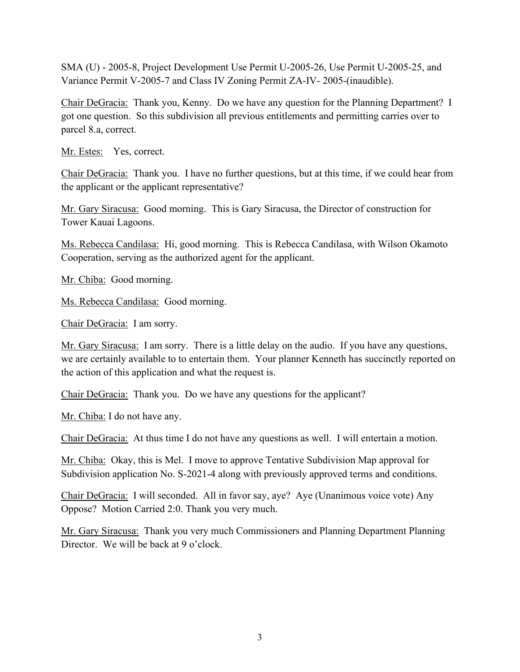SMA (U) - 2005-8, Project Development Use Permit U-2005-26, Use Permit U-2005-25, and Variance Permit V-2005-7 and Class IV Zoning Permit ZA-IV- 2005-(inaudible).

Chair DeGracia: Thank you, Kenny. Do we have any question for the Planning Department? I got one question. So this subdivision all previous entitlements and permitting carries over to parcel 8.a, correct.

Mr. Estes: Yes, correct.

Chair DeGracia: Thank you. I have no further questions, but at this time, if we could hear from the applicant or the applicant representative?

Mr. Gary Siracusa: Good morning. This is Gary Siracusa, the Director of construction for Tower Kauai Lagoons.

Ms. Rebecca Candilasa: Hi, good morning. This is Rebecca Candilasa, with Wilson Okamoto Cooperation, serving as the authorized agent for the applicant.

Mr. Chiba: Good morning.

Ms. Rebecca Candilasa: Good morning.

Chair DeGracia: I am sorry.

Mr. Gary Siracusa: I am sorry. There is a little delay on the audio. If you have any questions, we are certainly available to to entertain them. Your planner Kenneth has succinctly reported on the action of this application and what the request is.

Chair DeGracia: Thank you. Do we have any questions for the applicant?

Mr. Chiba: I do not have any.

Chair DeGracia: At thus time I do not have any questions as well. I will entertain a motion.

Mr. Chiba: Okay, this is Mel. I move to approve Tentative Subdivision Map approval for Subdivision application No. S-2021-4 along with previously approved terms and conditions.

Chair DeGracia: I will seconded. All in favor say, aye? Aye (Unanimous voice vote) Any Oppose? Motion Carried 2:0. Thank you very much.

Mr. Gary Siracusa: Thank you very much Commissioners and Planning Department Planning Director. We will be back at 9 o'clock.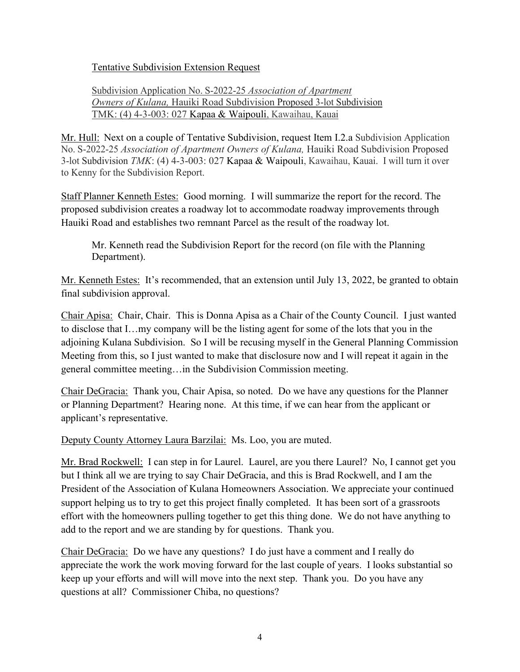Tentative Subdivision Extension Request

Subdivision Application No. S-2022-25 *Association of Apartment Owners of Kulana,* Hauiki Road Subdivision Proposed 3-lot Subdivision TMK: (4) 4-3-003: 027 Kapaa & Waipouli, Kawaihau, Kauai

Mr. Hull: Next on a couple of Tentative Subdivision, request Item I.2.a Subdivision Application No. S-2022-25 *Association of Apartment Owners of Kulana,* Hauiki Road Subdivision Proposed 3-lot Subdivision *TMK*: (4) 4-3-003: 027 Kapaa & Waipouli, Kawaihau, Kauai. I will turn it over to Kenny for the Subdivision Report.

Staff Planner Kenneth Estes: Good morning. I will summarize the report for the record. The proposed subdivision creates a roadway lot to accommodate roadway improvements through Hauiki Road and establishes two remnant Parcel as the result of the roadway lot.

Mr. Kenneth read the Subdivision Report for the record (on file with the Planning Department).

Mr. Kenneth Estes: It's recommended, that an extension until July 13, 2022, be granted to obtain final subdivision approval.

Chair Apisa: Chair, Chair. This is Donna Apisa as a Chair of the County Council. I just wanted to disclose that I…my company will be the listing agent for some of the lots that you in the adjoining Kulana Subdivision. So I will be recusing myself in the General Planning Commission Meeting from this, so I just wanted to make that disclosure now and I will repeat it again in the general committee meeting…in the Subdivision Commission meeting.

Chair DeGracia: Thank you, Chair Apisa, so noted. Do we have any questions for the Planner or Planning Department? Hearing none. At this time, if we can hear from the applicant or applicant's representative.

Deputy County Attorney Laura Barzilai: Ms. Loo, you are muted.

Mr. Brad Rockwell: I can step in for Laurel. Laurel, are you there Laurel? No, I cannot get you but I think all we are trying to say Chair DeGracia, and this is Brad Rockwell, and I am the President of the Association of Kulana Homeowners Association. We appreciate your continued support helping us to try to get this project finally completed. It has been sort of a grassroots effort with the homeowners pulling together to get this thing done. We do not have anything to add to the report and we are standing by for questions. Thank you.

Chair DeGracia: Do we have any questions? I do just have a comment and I really do appreciate the work the work moving forward for the last couple of years. I looks substantial so keep up your efforts and will will move into the next step. Thank you. Do you have any questions at all? Commissioner Chiba, no questions?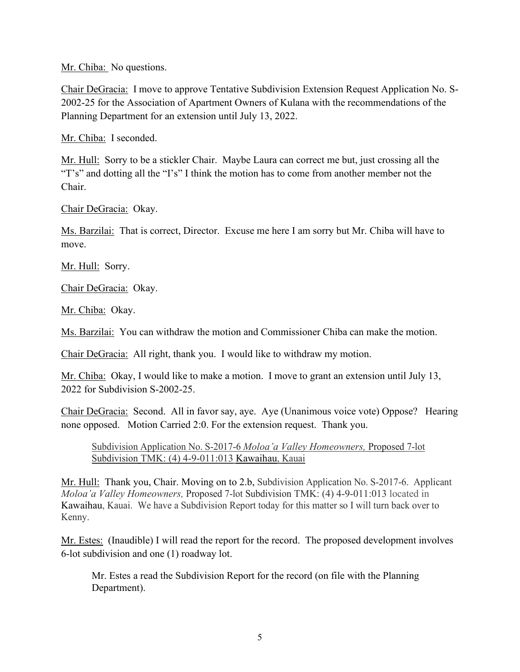Mr. Chiba: No questions.

Chair DeGracia: I move to approve Tentative Subdivision Extension Request Application No. S-2002-25 for the Association of Apartment Owners of Kulana with the recommendations of the Planning Department for an extension until July 13, 2022.

Mr. Chiba: I seconded.

Mr. Hull: Sorry to be a stickler Chair. Maybe Laura can correct me but, just crossing all the "T's" and dotting all the "I's" I think the motion has to come from another member not the Chair.

Chair DeGracia: Okay.

Ms. Barzilai: That is correct, Director. Excuse me here I am sorry but Mr. Chiba will have to move.

Mr. Hull: Sorry.

Chair DeGracia: Okay.

Mr. Chiba: Okay.

Ms. Barzilai: You can withdraw the motion and Commissioner Chiba can make the motion.

Chair DeGracia: All right, thank you. I would like to withdraw my motion.

Mr. Chiba: Okay, I would like to make a motion. I move to grant an extension until July 13, 2022 for Subdivision S-2002-25.

Chair DeGracia: Second. All in favor say, aye. Aye (Unanimous voice vote) Oppose? Hearing none opposed. Motion Carried 2:0. For the extension request. Thank you.

Subdivision Application No. S-2017-6 *Moloa'a Valley Homeowners,* Proposed 7-lot Subdivision TMK: (4) 4-9-011:013 Kawaihau, Kauai

Mr. Hull: Thank you, Chair. Moving on to 2.b, Subdivision Application No. S-2017-6. Applicant *Moloa'a Valley Homeowners,* Proposed 7-lot Subdivision TMK: (4) 4-9-011:013 located in Kawaihau, Kauai. We have a Subdivision Report today for this matter so I will turn back over to Kenny.

Mr. Estes: (Inaudible) I will read the report for the record. The proposed development involves 6-lot subdivision and one (1) roadway lot.

Mr. Estes a read the Subdivision Report for the record (on file with the Planning Department).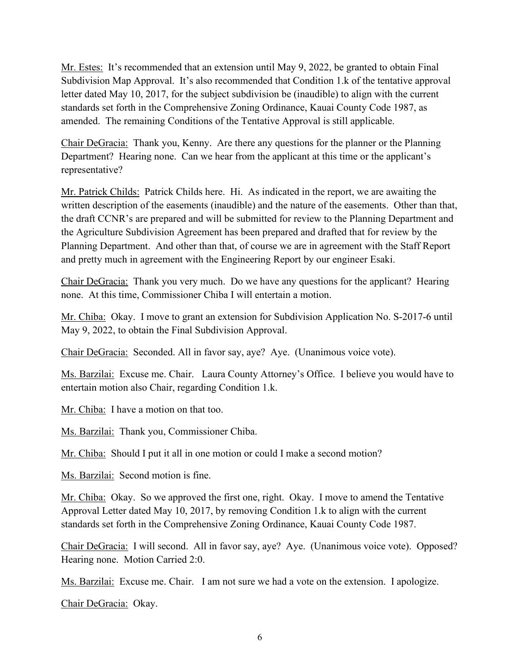Mr. Estes: It's recommended that an extension until May 9, 2022, be granted to obtain Final Subdivision Map Approval. It's also recommended that Condition 1.k of the tentative approval letter dated May 10, 2017, for the subject subdivision be (inaudible) to align with the current standards set forth in the Comprehensive Zoning Ordinance, Kauai County Code 1987, as amended. The remaining Conditions of the Tentative Approval is still applicable.

Chair DeGracia: Thank you, Kenny. Are there any questions for the planner or the Planning Department? Hearing none. Can we hear from the applicant at this time or the applicant's representative?

Mr. Patrick Childs: Patrick Childs here. Hi. As indicated in the report, we are awaiting the written description of the easements (inaudible) and the nature of the easements. Other than that, the draft CCNR's are prepared and will be submitted for review to the Planning Department and the Agriculture Subdivision Agreement has been prepared and drafted that for review by the Planning Department. And other than that, of course we are in agreement with the Staff Report and pretty much in agreement with the Engineering Report by our engineer Esaki.

Chair DeGracia: Thank you very much. Do we have any questions for the applicant? Hearing none. At this time, Commissioner Chiba I will entertain a motion.

Mr. Chiba: Okay. I move to grant an extension for Subdivision Application No. S-2017-6 until May 9, 2022, to obtain the Final Subdivision Approval.

Chair DeGracia: Seconded. All in favor say, aye? Aye. (Unanimous voice vote).

Ms. Barzilai: Excuse me. Chair. Laura County Attorney's Office. I believe you would have to entertain motion also Chair, regarding Condition 1.k.

Mr. Chiba: I have a motion on that too.

Ms. Barzilai: Thank you, Commissioner Chiba.

Mr. Chiba: Should I put it all in one motion or could I make a second motion?

Ms. Barzilai: Second motion is fine.

Mr. Chiba: Okay. So we approved the first one, right. Okay. I move to amend the Tentative Approval Letter dated May 10, 2017, by removing Condition 1.k to align with the current standards set forth in the Comprehensive Zoning Ordinance, Kauai County Code 1987.

Chair DeGracia: I will second. All in favor say, aye? Aye. (Unanimous voice vote). Opposed? Hearing none. Motion Carried 2:0.

Ms. Barzilai: Excuse me. Chair. I am not sure we had a vote on the extension. I apologize.

Chair DeGracia: Okay.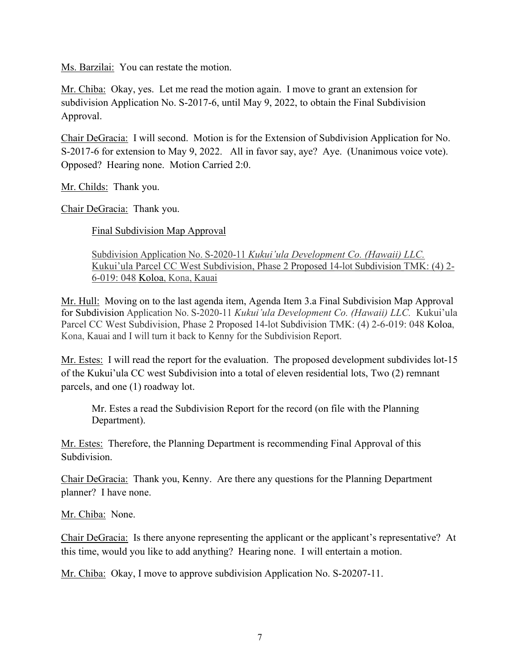Ms. Barzilai: You can restate the motion.

Mr. Chiba: Okay, yes. Let me read the motion again. I move to grant an extension for subdivision Application No. S-2017-6, until May 9, 2022, to obtain the Final Subdivision Approval.

Chair DeGracia: I will second. Motion is for the Extension of Subdivision Application for No. S-2017-6 for extension to May 9, 2022. All in favor say, aye? Aye. (Unanimous voice vote). Opposed? Hearing none. Motion Carried 2:0.

Mr. Childs: Thank you.

Chair DeGracia: Thank you.

Final Subdivision Map Approval

Subdivision Application No. S-2020-11 *Kukui'ula Development Co. (Hawaii) LLC.*  Kukui'ula Parcel CC West Subdivision, Phase 2 Proposed 14-lot Subdivision TMK: (4) 2- 6-019: 048 Koloa, Kona, Kauai

Mr. Hull: Moving on to the last agenda item, Agenda Item 3.a Final Subdivision Map Approval for Subdivision Application No. S-2020-11 *Kukui'ula Development Co. (Hawaii) LLC.* Kukui'ula Parcel CC West Subdivision, Phase 2 Proposed 14-lot Subdivision TMK: (4) 2-6-019: 048 Koloa, Kona, Kauai and I will turn it back to Kenny for the Subdivision Report.

Mr. Estes: I will read the report for the evaluation. The proposed development subdivides lot-15 of the Kukui'ula CC west Subdivision into a total of eleven residential lots, Two (2) remnant parcels, and one (1) roadway lot.

Mr. Estes a read the Subdivision Report for the record (on file with the Planning Department).

Mr. Estes: Therefore, the Planning Department is recommending Final Approval of this Subdivision.

Chair DeGracia: Thank you, Kenny. Are there any questions for the Planning Department planner? I have none.

Mr. Chiba: None.

Chair DeGracia: Is there anyone representing the applicant or the applicant's representative? At this time, would you like to add anything? Hearing none. I will entertain a motion.

Mr. Chiba: Okay, I move to approve subdivision Application No. S-20207-11.